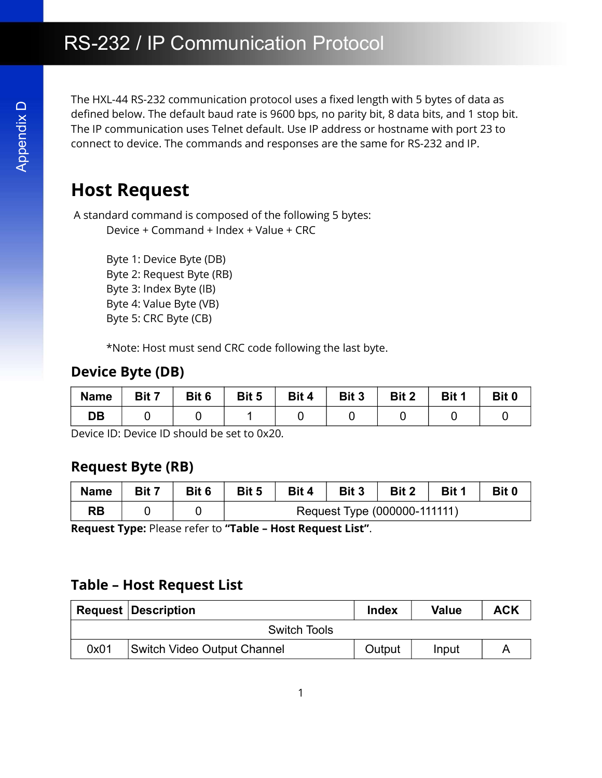The HXL-44 RS-232 communication protocol uses a fixed length with 5 bytes of data as defined below. The default baud rate is 9600 bps, no parity bit, 8 data bits, and 1 stop bit. The IP communication uses Telnet default. Use IP address or hostname with port 23 to connect to device. The commands and responses are the same for RS-232 and IP.

# Host Request

# Device Byte (DB)

| <b>Name</b> | Bit 7 | Bit 6 | Bit 5 | Bit 4 | Bit 3 | Bit 2 | Bit <sup>1</sup> | Bit 0 |
|-------------|-------|-------|-------|-------|-------|-------|------------------|-------|
| DB          |       |       |       |       |       |       |                  |       |

### Request Byte (RB)

| <b>Name</b> | Bit 7 | Bit 6 | Bit 5 | Bit 4 | Bit 3 | Bit 2                        | Bit 1 | Bit 0 |
|-------------|-------|-------|-------|-------|-------|------------------------------|-------|-------|
| <b>RB</b>   |       |       |       |       |       | Request Type (000000-111111) |       |       |

### Table – Host Request List

|                                         | <b>Host Request</b>                                                         |                                                                                                                                                             |       |                     |                              |              |              |                |
|-----------------------------------------|-----------------------------------------------------------------------------|-------------------------------------------------------------------------------------------------------------------------------------------------------------|-------|---------------------|------------------------------|--------------|--------------|----------------|
|                                         |                                                                             | A standard command is composed of the following 5 bytes:<br>Device + Command + Index + Value + CRC<br>Byte 1: Device Byte (DB)<br>Byte 2: Request Byte (RB) |       |                     |                              |              |              |                |
|                                         | Byte 3: Index Byte (IB)<br>Byte 4: Value Byte (VB)<br>Byte 5: CRC Byte (CB) | *Note: Host must send CRC code following the last byte.                                                                                                     |       |                     |                              |              |              |                |
|                                         | <b>Device Byte (DB)</b>                                                     |                                                                                                                                                             |       |                     |                              |              |              |                |
| <b>Name</b>                             | Bit 7                                                                       | Bit 6                                                                                                                                                       | Bit 5 | Bit 4               | Bit 3                        | Bit 2        | Bit 1        | Bit 0          |
| <b>DB</b>                               | $\Omega$                                                                    | $\overline{0}$                                                                                                                                              | 1     | $\mathbf 0$         | 0                            | 0            | $\mathbf 0$  | $\overline{0}$ |
|                                         |                                                                             |                                                                                                                                                             |       |                     | Bit 3                        |              | Bit 1        | Bit 0          |
| <b>Request Byte (RB)</b><br><b>Name</b> | Bit 7                                                                       | Bit 6                                                                                                                                                       | Bit 5 | Bit 4               |                              | Bit 2        |              |                |
| <b>RB</b>                               | $\Omega$                                                                    | $\overline{0}$                                                                                                                                              |       |                     | Request Type (000000-111111) |              |              |                |
|                                         |                                                                             | Request Type: Please refer to "Table - Host Request List".<br><b>Table - Host Request List</b>                                                              |       |                     |                              |              |              |                |
| Request                                 | <b>Description</b>                                                          |                                                                                                                                                             |       | <b>Switch Tools</b> |                              | <b>Index</b> | <b>Value</b> | <b>ACK</b>     |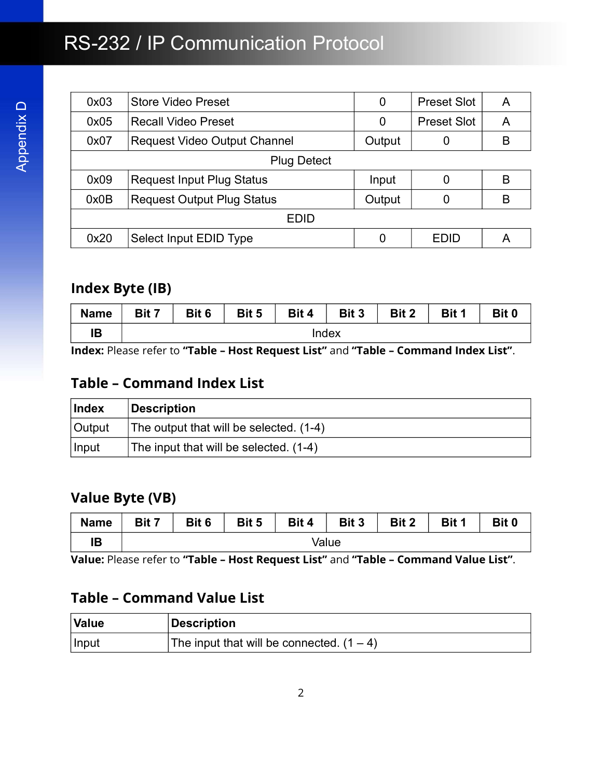# RS-232 / IP Communication Protocol

| 0x03               | <b>Store Video Preset</b>           | 0      | <b>Preset Slot</b> | A |  |  |  |  |
|--------------------|-------------------------------------|--------|--------------------|---|--|--|--|--|
| 0x05               | Recall Video Preset                 | 0      | <b>Preset Slot</b> | A |  |  |  |  |
| 0x07               | <b>Request Video Output Channel</b> | Output | 0                  | B |  |  |  |  |
| <b>Plug Detect</b> |                                     |        |                    |   |  |  |  |  |
| 0x09               | <b>Request Input Plug Status</b>    | Input  | 0                  | B |  |  |  |  |
| 0x0B               | <b>Request Output Plug Status</b>   | Output | 0                  | B |  |  |  |  |
|                    | EDID                                |        |                    |   |  |  |  |  |
| 0x20               | Select Input EDID Type              | 0      | EDID               | Α |  |  |  |  |

# Index Byte (IB)

| <b>Name</b> | Bit 7 | Bit 6 | Bit 5 | Bit 4 | Bit 3 | Bit 2 | Bit 1 | Bit 0 |
|-------------|-------|-------|-------|-------|-------|-------|-------|-------|
| ΙB          |       |       |       | Index |       |       |       |       |

Index: Please refer to "Table – Host Request List" and "Table – Command Index List".

### Table – Command Index List

| <b>Index</b> | Description                              |
|--------------|------------------------------------------|
| Output       | The output that will be selected. (1-4)  |
| Input        | The input that will be selected. $(1-4)$ |

# Value Byte (VB)

| <b>Name</b> | Bit 7 | Bit 6 | Bit 5 | Bit 4 | Bit 3 | Bit 2 | Bit 1 | Bit 0 |
|-------------|-------|-------|-------|-------|-------|-------|-------|-------|
| םו<br>IE    |       |       |       |       | Value |       |       |       |

Value: Please refer to "Table – Host Request List" and "Table – Command Value List".

# Table – Command Value List

| Value | Description                                 |
|-------|---------------------------------------------|
| Input | The input that will be connected. $(1 – 4)$ |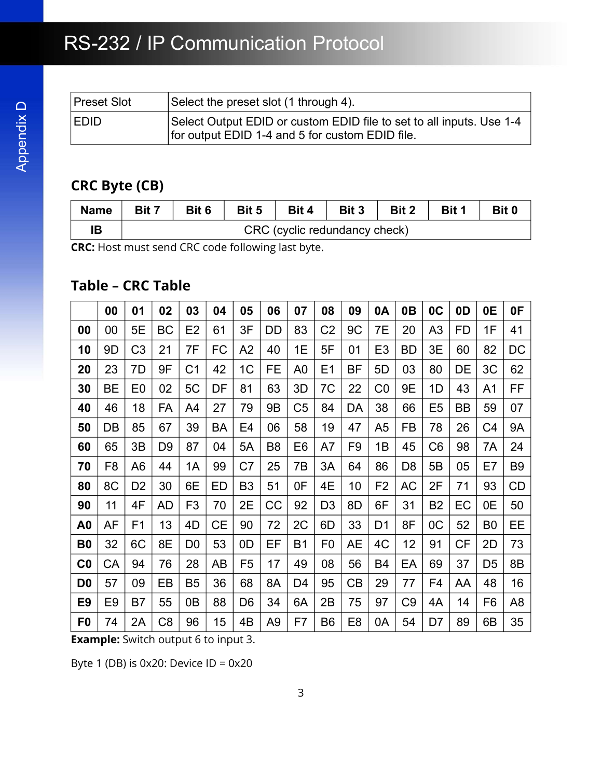# RS-232 / IP Communication Protocol

| Preset Slot | Select the preset slot (1 through 4).                                                                                   |
|-------------|-------------------------------------------------------------------------------------------------------------------------|
| <b>EDID</b> | Select Output EDID or custom EDID file to set to all inputs. Use 1-4<br>for output EDID 1-4 and 5 for custom EDID file. |

# CRC Byte (CB)

| <b>Name</b> | Bit 7 | Bit 6 | Bit 5 | Bit 4                         | Bit 3 | Bit 2 | Bit 1 | Bit 0 |
|-------------|-------|-------|-------|-------------------------------|-------|-------|-------|-------|
| םו          |       |       |       | CRC (cyclic redundancy check) |       |       |       |       |

CRC: Host must send CRC code following last byte.

# Table – CRC Table

|                | 00             | 01             | 02             | 03             | 04        | 05             | 06             | 07             | 08             | 09             | 0A             | 0B             | 0C             | 0D        | 0E             | 0F             |
|----------------|----------------|----------------|----------------|----------------|-----------|----------------|----------------|----------------|----------------|----------------|----------------|----------------|----------------|-----------|----------------|----------------|
| 00             | 00             | 5E             | <b>BC</b>      | E <sub>2</sub> | 61        | 3F             | DD             | 83             | C2             | 9C             | 7Е             | 20             | A <sub>3</sub> | <b>FD</b> | 1F             | 41             |
| 10             | 9D             | C <sub>3</sub> | 21             | 7F             | FC        | A2             | 40             | 1E             | 5F             | 01             | E <sub>3</sub> | <b>BD</b>      | 3E             | 60        | 82             | DC             |
| 20             | 23             | 7D             | 9F             | C1             | 42        | 1 <sup>C</sup> | FE             | A <sub>0</sub> | E1             | ΒF             | 5D             | 03             | 80             | DE        | 3C             | 62             |
| 30             | <b>BE</b>      | E <sub>0</sub> | 02             | 5C             | DF        | 81             | 63             | 3D             | 7C             | 22             | CO             | 9E             | 1D             | 43        | A1             | FF             |
| 40             | 46             | 18             | FA             | A4             | 27        | 79             | 9B             | C <sub>5</sub> | 84             | DA             | 38             | 66             | E <sub>5</sub> | <b>BB</b> | 59             | 07             |
| 50             | DB             | 85             | 67             | 39             | <b>BA</b> | E4             | 06             | 58             | 19             | 47             | A <sub>5</sub> | FB             | 78             | 26        | C4             | <b>9A</b>      |
| 60             | 65             | 3B             | D <sub>9</sub> | 87             | 04        | 5A             | B <sub>8</sub> | E <sub>6</sub> | A7             | F9             | 1B             | 45             | C <sub>6</sub> | 98        | 7A             | 24             |
| 70             | F <sub>8</sub> | A <sub>6</sub> | 44             | 1A             | 99        | C7             | 25             | 7Β             | 3A             | 64             | 86             | D <sub>8</sub> | 5B             | 05        | E7             | B <sub>9</sub> |
| 80             | 8C             | D <sub>2</sub> | 30             | 6E             | ED        | B <sub>3</sub> | 51             | 0F             | 4E             | 10             | F <sub>2</sub> | AC             | 2F             | 71        | 93             | <b>CD</b>      |
| 90             | 11             | 4F             | <b>AD</b>      | F <sub>3</sub> | 70        | 2E             | CC             | 92             | D <sub>3</sub> | 8D             | 6F             | 31             | <b>B2</b>      | EC        | 0E             | 50             |
| A <sub>0</sub> | AF             | F <sub>1</sub> | 13             | 4D             | СE        | 90             | 72             | 2C             | 6D             | 33             | D <sub>1</sub> | 8F             | OC             | 52        | B <sub>0</sub> | EЕ             |
| B <sub>0</sub> | 32             | 6C             | 8E             | D <sub>0</sub> | 53        | 0 <sub>D</sub> | EF             | <b>B1</b>      | F <sub>0</sub> | AE             | 4C             | 12             | 91             | <b>CF</b> | 2D             | 73             |
| C <sub>0</sub> | СA             | 94             | 76             | 28             | AB        | F <sub>5</sub> | 17             | 49             | 08             | 56             | B4             | EA             | 69             | 37        | D <sub>5</sub> | 8B             |
| D <sub>0</sub> | 57             | 09             | EB             | B <sub>5</sub> | 36        | 68             | 8A             | D <sub>4</sub> | 95             | CB             | 29             | 77             | F <sub>4</sub> | AA        | 48             | 16             |
| E <sub>9</sub> | E9             | B7             | 55             | 0B             | 88        | D <sub>6</sub> | 34             | 6A             | 2B             | 75             | 97             | C <sub>9</sub> | 4A             | 14        | F <sub>6</sub> | A <sub>8</sub> |
| F0             | 74             | 2A             | C <sub>8</sub> | 96             | 15        | 4B             | A <sub>9</sub> | F7             | B <sub>6</sub> | E <sub>8</sub> | 0A             | 54             | D7             | 89        | 6B             | 35             |

**Example:** Switch output 6 to input 3.

Byte 1 (DB) is 0x20: Device ID = 0x20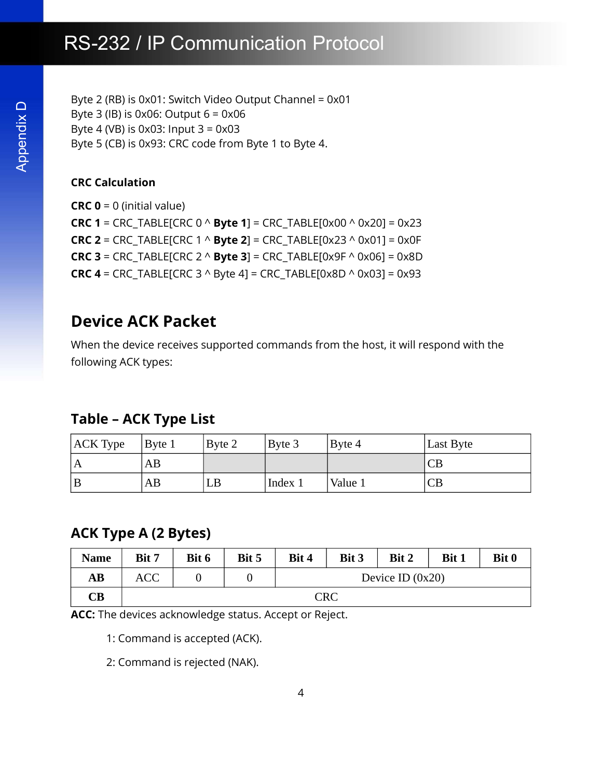# RS-232 / IP Communication Protocol

Byte 2 (RB) is 0x01: Switch Video Output Channel = 0x01 Byte 3 (IB) is  $0x06$ : Output  $6 = 0x06$ Byte 4 (VB) is 0x03: Input 3 = 0x03 Byte 5 (CB) is 0x93: CRC code from Byte 1 to Byte 4.

#### CRC Calculation

**CRC 0** = 0 (initial value) **CRC 1** = CRC\_TABLE[CRC  $0 \wedge$  **Byte 1**] = CRC\_TABLE[0x00  $\wedge$  0x20] = 0x23 **CRC 2** = CRC\_TABLE[CRC 1  $\land$  **Byte 2**] = CRC\_TABLE[0x23  $\land$  0x01] = 0x0F **CRC 3** = CRC\_TABLE[CRC 2  $\land$  **Byte 3**] = CRC\_TABLE[0x9F  $\land$  0x06] = 0x8D **CRC 4** = CRC\_TABLE[CRC 3  $\land$  Byte 4] = CRC\_TABLE[0x8D  $\land$  0x03] = 0x93

# Device ACK Packet

When the device receives supported commands from the host, it will respond with the following ACK types:

#### Table – ACK Type List

| <b>ACK Type</b> | Byte 1 | Byte 2 | Byte 3  | Byte 4   | Last Byte |
|-----------------|--------|--------|---------|----------|-----------|
| A               | AB     |        |         |          | CB        |
| ΙB              | AВ     | LB     | Index 1 | 'Value 1 | CB        |

#### ACK Type A (2 Bytes)

| <b>Name</b>          | Bit 7      | Bit 6 | Bit 5 | Bit 4              | Bit 3 | Bit 2 | Bit 1 | Bit 0 |
|----------------------|------------|-------|-------|--------------------|-------|-------|-------|-------|
| AB                   | <b>ACC</b> |       |       | Device ID $(0x20)$ |       |       |       |       |
| $\mathbf C\mathbf B$ | <b>CRC</b> |       |       |                    |       |       |       |       |

ACC: The devices acknowledge status. Accept or Reject.

1: Command is accepted (ACK).

2: Command is rejected (NAK).